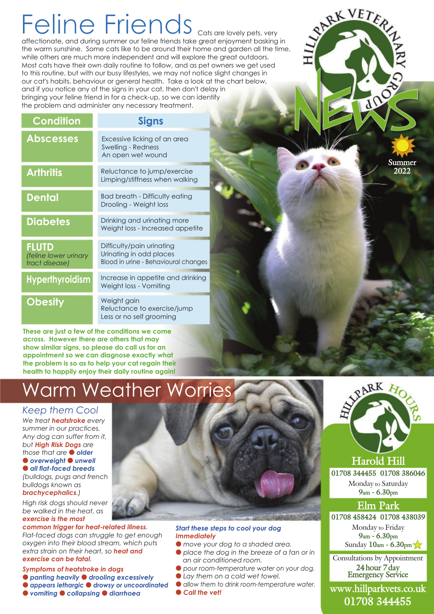# Feline Friends Cats are lovely pets, very

affectionate, and during summer our feline friends take great enjoyment basking in the warm sunshine. Some cats like to be around their home and garden all the time, while others are much more independent and will explore the great outdoors. Most cats have their own daily routine to follow, and as pet owners we get used to this routine, but with our busy lifestyles, we may not notice slight changes in our cat's habits, behaviour or general health. Take a look at the chart below, and if you notice any of the signs in your cat, then don't delay in bringing your feline friend in for a check-up, so we can identify the problem and administer any necessary treatment.

| <b>Condition</b>                                        | <b>Signs</b>                                                                                 |
|---------------------------------------------------------|----------------------------------------------------------------------------------------------|
| <b>Abscesses</b>                                        | Excessive licking of an area<br>Swelling - Redness<br>An open wet wound                      |
| <b>Arthritis</b>                                        | Reluctance to jump/exercise<br>Limping/stiffness when walking                                |
| <b>Dental</b>                                           | <b>Bad breath - Difficulty eating</b><br>Drooling - Weight loss                              |
| <b>Diabetes</b>                                         | Drinking and urinating more<br>Weight loss - Increased appetite                              |
| <b>FLUTD</b><br>(feline lower urinary<br>tract disease) | Difficulty/pain urinating<br>Urinating in odd places<br>Blood in urine - Behavioural changes |
| <b>Hyperthyroidism</b>                                  | Increase in appetite and drinking<br>Weight loss - Vomiting                                  |
| <b>Obesity</b>                                          | Weight gain<br>Reluctance to exercise/jump<br>Less or no self grooming                       |

**These are just a few of the conditions we come across. However there are others that may show similar signs, so please do call us for an appointment so we can diagnose exactly what the problem is so as to help your cat regain their health to happily enjoy their daily routine again!**

## Warm Weather Worries

### *Keep them Cool*

*We treat heatstroke every summer in our practices. Any dog can suffer from it, but High Risk Dogs are those that are older*  $\bullet$  overweight  $\bullet$  unwell  $\bullet$  **all flat-faced breeds** *(bulldogs, pugs and french*

*bulldogs known as brachycephalics.) High risk dogs should never*

*be walked in the heat, as exercise is the most*

*common trigger for heat-related illness. Flat-faced dogs can struggle to get enough oxygen into their blood stream, which puts extra strain on their heart, so heat and exercise can be fatal.*

### *Symptoms of heatstroke in dogs*

- $\bullet$  panting heavily  $\bullet$  drooling excessively
- $\bullet$  appears lethargic  $\bullet$  drowsy or uncoordinated
- $\bullet$  *vomiting*  $\bullet$  *collapsing*  $\bullet$  *diarrhoea*



### *Start these steps to cool your dog Immediately*

- l *move your dog to a shaded area.*
- l *place the dog in the breeze of a fan or in an air conditioned room.*
- l *pour room-temperature water on your dog.*
- l *Lay them on a cold wet towel.*
- l *allow them to drink room-temperature water.*
- l *Call the vet!*



**Summer 2022**

SINRK VETER

**CALCS** 

**Harold Hill**

**01708 344455 01708 386046** Monday to Saturday **9am - 6.30pm**

### **Elm Park**

**01708 458424 01708 438039**

Monday to Friday **9am - 6.30pm** Sunday **10am - 6.30pm**

Consultations by Appointment **24 hour 7 day Emergency Service**

**www.hillparkvets.co.uk 01708 344455**